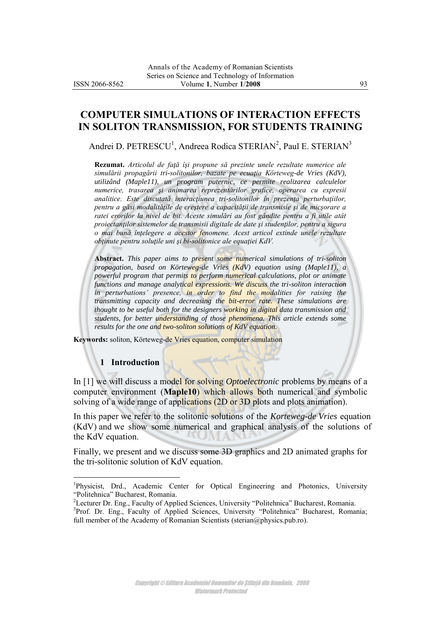# **COMPUTER SIMULATIONS OF INTERACTION EFFECTS IN SOLITON TRANSMISSION, FOR STUDENTS TRAINING**

Andrei D. PETRESCU<sup>1</sup>, Andreea Rodica STERIAN<sup>2</sup>, Paul E. STERIAN<sup>3</sup>

**Rezumat.** *Articolul de faţă îşi propune să prezinte unele rezultate numerice ale simulării propagării tri-solitonilor, bazate pe ecuaţia Körteweg-de Vries (KdV), utilizând (Maple11), un program puternic, ce permite realizarea calculelor numerice, trasarea şi animarea reprezentărilor grafice, operarea cu expresii analitice. Este discutată interacţiunea tri-solitonilor în prezenţa perturbaţiilor, pentru a găsi modalităţile de creştere a capacităţii de transmisie şi de micşorare a ratei erorilor la nivel de bit. Aceste simulări au fost gândite pentru a fi utile atât proiectanţilor sistemelor de transmisii digitale de date şi studenţilor, pentru a sigura o mai bună înţelegere a acestor fenomene. Acest articol extinde unele rezultate obţinute pentru soluţile uni şi bi-solitonice ale equaţiei KdV.*

**Abstract.** *This paper aims to present some numerical simulations of tri-soliton propagation, based on Körteweg-de Vries (KdV) equation using (Maple11), a powerful program that permits to perform numerical calculations, plot or animate functions and manage analytical expressions. We discuss the tri-soliton interaction*  in perturbations' presence, in order to find the modalities for raising the *transmitting capacity and decreasing the bit-error rate. These simulations are thought to be useful both for the designers working in digital data transmission and students, for better understanding of those phenomena. This article extends some results for the one and two-soliton solutions of KdV equation.*

**Keywords:** soliton, Körteweg-de Vries equation, computer simulation

## **1 Introduction**

 $\overline{a}$ 

In [1] we will discuss a model for solving *Optoelectronic* problems by means of a computer environment (**Maple10**) which allows both numerical and symbolic solving of a wide range of applications (2D or 3D plots and plots animation).

 $\sim$ 

In this paper we refer to the solitonic solutions of the *Korteweg-de Vries* equation (KdV) and we show some numerical and graphical analysis of the solutions of the KdV equation.

Finally, we present and we discuss some 3D graphics and 2D animated graphs for the tri-solitonic solution of KdV equation.

<sup>&</sup>lt;sup>1</sup>Physicist, Drd., Academic Center for Optical Engineering and Photonics, University "Politehnica" Bucharest, Romania.

<sup>&</sup>lt;sup>2</sup>Lecturer Dr. Eng., Faculty of Applied Sciences, University "Politehnica" Bucharest, Romania.

<sup>&</sup>lt;sup>3</sup>Prof. Dr. Eng., Faculty of Applied Sciences, University "Politehnica" Bucharest, Romania; full member of the Academy of Romanian Scientists [\(sterian@physics.pub.ro\)](mailto:sterian@physics.pub.ro).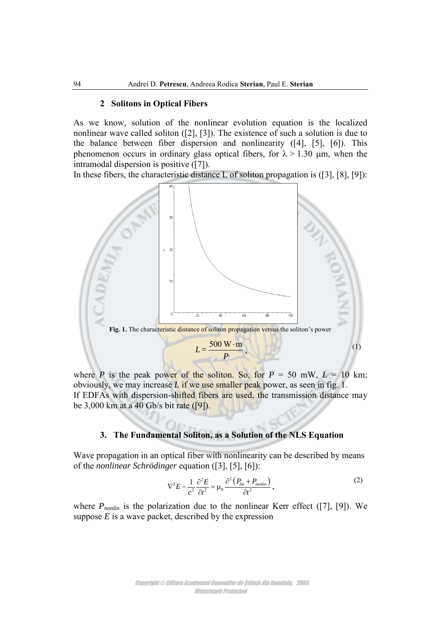#### **2 Solitons in Optical Fibers**

As we know, solution of the nonlinear evolution equation is the localized nonlinear wave called soliton ([2], [3]). The existence of such a solution is due to the balance between fiber dispersion and nonlinearity ([4], [5], [6]). This phenomenon occurs in ordinary glass optical fibers, for  $\lambda > 1.30$  µm, when the intramodal dispersion is positive ([7]).

In these fibers, the characteristic distance L of soliton propagation is ([3], [8], [9]):



where *P* is the peak power of the soliton. So, for  $P = 50$  mW,  $L = 10$  km; obviously, we may increase *L* if we use smaller peak power, as seen in fig. 1. If EDFAs with dispersion-shifted fibers are used, the transmission distance may be 3,000 km at a 40 Gb/s bit rate ([9]).

### **3. The Fundamental Soliton, as a Solution of the NLS Equation**

Wave propagation in an optical fiber with nonlinearity can be described by means of the *nonlinear Schrödinger* equation ([3], [5], [6]):

$$
\nabla^2 E - \frac{1}{c^2} \frac{\partial^2 E}{\partial t^2} = \mu_0 \frac{\partial^2 (P_{lin} + P_{nonlin})}{\partial t^2},
$$
\n(2)

where *P<sub>nonlin</sub>* is the polarization due to the nonlinear Kerr effect ([7], [9]). We suppose  $E$  is a wave packet, described by the expression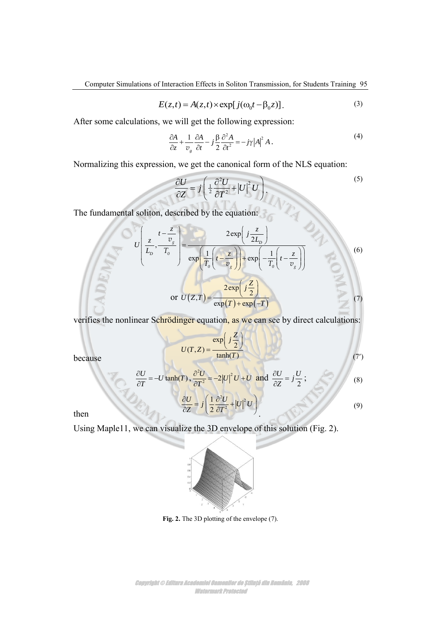Computer Simulations of Interaction Effects in Soliton Transmission, for Students Training 95

$$
E(z,t) = A(z,t) \times \exp[j(\omega_0 t - \beta_0 z)].
$$
\n(3)

After some calculations, we will get the following expression:

$$
\frac{\partial A}{\partial z} + \frac{1}{v_g} \frac{\partial A}{\partial t} - j \frac{\beta}{2} \frac{\partial^2 A}{\partial t^2} = -j\gamma |A|^2 A.
$$
 (4)

Normalizing this expression, we get the canonical form of the NLS equation:

$$
\frac{\partial U}{\partial Z} = j \left( \frac{1}{2} \frac{\partial^2 U}{\partial T^2} + |U|^2 U \right),\tag{5}
$$

The fundamental soliton, described by the equation:  
\n
$$
U\left(\frac{t-\frac{z}{v_s}}{L_b}, \frac{v_g}{T_0}\right) = \frac{2 \exp\left(j\frac{z}{2L_b}\right)}{\exp\left(\frac{1}{T_0}\left(t-\frac{z}{v_s}\right)\right) + \exp\left(-\frac{1}{T_0}\left(t-\frac{z}{v_g}\right)\right)}
$$
\nor  $U(Z,T) = \frac{2 \exp\left(j\frac{z}{2}\right)}{\exp\left(T\right) + \exp\left(-T\right)}$  (7)

verifies the nonlinear Schrödinger equation, as we can see by direct calculations:

$$
U(T, Z) = \frac{\exp\left(j\frac{Z}{2}\right)}{\tanh(T)}
$$
(7')

because

$$
\frac{\partial U}{\partial T} = -U \tanh(T), \frac{\partial^2 U}{\partial T^2} = -2|U|^2 U + U \text{ and } \frac{\partial U}{\partial Z} = j\frac{U}{2};
$$
\n(8)\n  
\n
$$
\frac{\partial U}{\partial Z} = j\left(\frac{1}{2}\frac{\partial^2 U}{\partial T^2} + |U|^2 U\right)
$$
\n(9)

then

Using Maple11, we can visualize the 3D envelope of this solution (Fig. 2).



**Fig. 2.** The 3D plotting of the envelope (7).

Copyright © Editura Academiei Oamenilor de Știință din România, 2008 Watermark Protected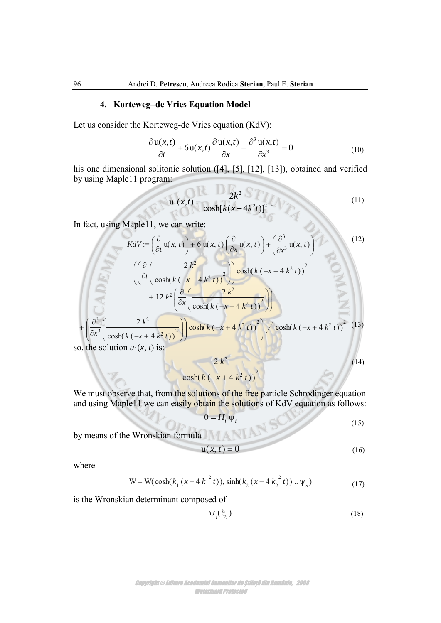#### **4. Kortewegde Vries Equation Model**

Let us consider the Korteweg-de Vries equation (KdV):

$$
\frac{\partial u(x,t)}{\partial t} + 6u(x,t)\frac{\partial u(x,t)}{\partial x} + \frac{\partial^3 u(x,t)}{\partial x^3} = 0
$$
 (10)

his one dimensional solitonic solution ([4], [5], [12], [13]), obtained and verified by using Maple11 program:

$$
u_1(x,t) = \frac{2k^2}{\cosh[k(x-4k^2t)]^2}
$$
 (11)

In fact, using Maple11, we can write:

Anderi D. Perrescu, Andreea Rodica Sterian, Paul E. Serian  
\n4. Korteweg-de Vries Equation (KdV):  
\n
$$
\frac{\partial u(x,t)}{\partial t} + 6u(x,t) \frac{\partial u(x,t)}{\partial x} + \frac{\partial^3 u(x,t)}{\partial x^3} = 0
$$
\n(10)  
\nis one dimensional solution: (141, 151, 112], 113), obtained and verified  
\nis usually singularly to the solution (141, 151, 112], 113), obtained and verified  
\nusing Maple11 program:  
\n
$$
u_1(x,t) = \frac{2k^2}{\cosh[k(x-4k^2t)]^2}.
$$
\n(11)  
\n
$$
f
$$
 (i.e., using Maple11, we can write:  
\n
$$
KdV = \left(\frac{\partial}{\partial x}(u, x, t)\right) = 6u(x, t)\left(\frac{\partial}{\partial x}(u, x, t)\right) + \left(\frac{\partial^2}{\partial x^2}(u, x, t)\right)^2
$$
\n
$$
+ 12k^2\left(\frac{\partial}{\partial x}\left(\frac{2k^2}{\cosh(k(\frac{-x + 4k^2t)}{x^2 + 4k^2t})^2}\right)\right)
$$
\n
$$
+ \left(\frac{\partial^2}{\partial x^2}\left(\frac{2k^2}{\cosh(k(\frac{-x + 4k^2t)}{x^2 + 4k^2t})^2}\right)\right) \cosh(k(\frac{-x + 4k^2t}{x^2 + 4k^2t})^2)
$$
\n(14)  
\n
$$
+ \left(\frac{\partial^2}{\partial x^2}\left(\frac{2k^2}{\cosh(k(\frac{-x + 4k^2t)}{x^2 + 4k^2t})^2}\right)\right) \cosh(k(\frac{-x + 4k^2t}{x^2 + 4k^2t})^2)
$$
\n(15)  
\n
$$
= \frac{2k^2}{\cosh(k(\frac{-x + 4k^2t}{x^2 + 4k^2t})^2)}
$$
\n(16)  
\n
$$
= \frac{2k^2}{\cosh(k(\frac{-x + 4k^2t}{x^2 + 4k^2t}))^2}
$$
\n(17)  
\n
$$
= \frac{2k^2}{\cosh(k(\frac{-x + 4k^2t
$$

so, the solution  $u_1(x, t)$  is:

$$
\frac{2 k^2}{\cosh(k (-x + 4 k^2 t))^2}
$$
 (14)

We must observe that, from the solutions of the free particle Schrodinger equation and using Maple11 we can easily obtain the solutions of KdV equation as follows:

$$
0 = H_i \Psi_i \tag{15}
$$

by means of the Wronskian formula

$$
\mathbf{u}(x,t) = 0\tag{16}
$$

where

We have  
\n
$$
u(x, t) = 0
$$
\n
$$
u(x, t) = 0
$$
\n
$$
W = W(\cosh(k_1(x - 4k_1^{2}t)), \sinh(k_2(x - 4k_2^{2}t)) \dots \psi_n)
$$
\n
$$
u(t) = W(\cosh(k_1(x - 4k_1^{2}t)), \sinh(k_2(x - 4k_2^{2}t)) \dots \psi_n)
$$
\n
$$
u(t) = W(\cosh(k_1(x - 4k_1^{2}t)), \sinh(k_2(x - 4k_2^{2}t)) \dots \psi_n)
$$
\n
$$
u(t) = 0
$$
\n
$$
u(t) = 0
$$
\n
$$
u(t) = 0
$$
\n
$$
u(t) = 0
$$
\n
$$
u(t) = 0
$$
\n
$$
u(t) = 0
$$
\n
$$
u(t) = 0
$$
\n
$$
u(t) = 0
$$
\n
$$
u(t) = 0
$$
\n
$$
u(t) = 0
$$
\n
$$
u(t) = 0
$$
\n
$$
u(t) = 0
$$
\n
$$
u(t) = 0
$$
\n
$$
u(t) = 0
$$
\n
$$
u(t) = 0
$$
\n
$$
u(t) = 0
$$
\n
$$
u(t) = 0
$$
\n
$$
u(t) = 0
$$
\n
$$
u(t) = 0
$$
\n
$$
u(t) = 0
$$
\n
$$
u(t) = 0
$$
\n
$$
u(t) = 0
$$
\n
$$
u(t) = 0
$$
\n
$$
u(t) = 0
$$
\n
$$
u(t) = 0
$$
\n
$$
u(t) = 0
$$
\n
$$
u(t) = 0
$$
\n
$$
u(t) = 0
$$
\n
$$
u(t) = 0
$$
\n
$$
u(t) = 0
$$
\n
$$
u(t) = 0
$$
\n
$$
u(t) = 0
$$
\n
$$
u(t) = 0
$$
\n
$$
u(t) = 0
$$
\n
$$
u(t) = 0
$$

is the Wronskian determinant composed of

$$
\Psi_i(\xi_i) \tag{18}
$$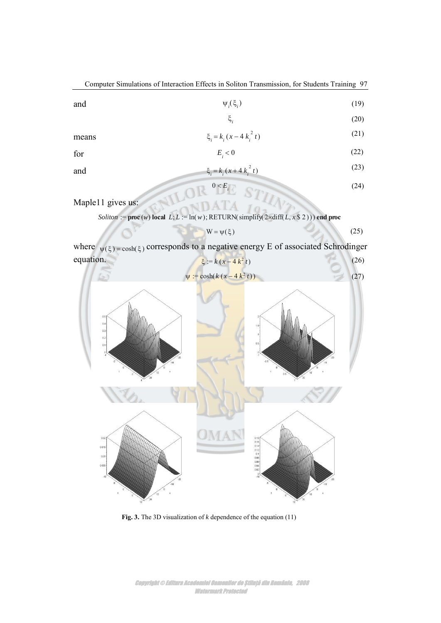Computer Simulations of Interaction Effects in Soliton Transmission, for Students Training 97 and **1 Soliton Transmission, for Students Training 9'**<br> $\Psi_i(\xi_i)$  (19)<br> $\xi_i$  (20)  $\psi_i(\xi_i)$  $\xi$ , and the contract of  $\xi$ *i* means  $\xi_i = k_i (x - 4 k_i^2 t)$ **i** (3)<br> **i** (5)<br> **i**  $\xi_i$  (20)<br> **i**  $(x - 4k_i^2 t)$  (21)<br>
(3)<br> **i** (x + 4  $k_i^2 t$ )<br> **i** (22)<br> **i** (x + 4  $k_i^2 t$ )<br> **i** (22)<br> **i** (x + 4  $k_i^2 t$ )<br>
(23)  $^{2}$  t) **i** Soliton Transmission, for Students Training 97<br>  $\Psi_i(\xi_i)$  (19)<br>  $\xi_i$  (20)<br>  $\zeta_i(x-4k_i^2 t)$  (21)<br>  $\zeta<0$  (22)<br>  $\zeta_i(x+4k_i^2 t)$  (23)<br>  $E_i$  (24)<br>
CRN(simplify(2xdiff(L, x § 2))) end proc  $\psi_i(\xi_i)$ <br>  $\xi_i$ <br>  $\xi_i = k_i (x - 4 k_i^2 t)$ <br>  $E_i < 0$ <br>  $\xi_i = k_i (x + 4 k_i^2 t)$ <br>
1 gives us:<br>
1 gives us:<br>  $\phi_i = \lim_{k \to \infty} \text{Re}(x) + \lim_{k \to \infty} \text{Re}(x)$ <br>  $\psi(\xi) = \cosh(\xi)$  corresponds to a negative energy E of associated Sc<br>  $\psi(\xi) = \cosh(\xi)$  (19) (20) (21)

$$
E_{i} < 0 \tag{22}
$$

and 
$$
\xi_i = k_i (x + 4 k_i^2 t)
$$
 (23)

$$
\mathbb{R} \overset{0 < E_{\text{H}}}{\longrightarrow} \mathbb{S}^{\text{th}} \tag{24}
$$

Maple11 gives us:

$$
W = \psi(\xi) \tag{25}
$$

where  $\psi(\xi) = \cosh(\xi)$  corresponds to a negative energy E of associated Schrodinger equation. (26)



**Fig. 3.** The 3D visualization of *k* dependence of the equation (11)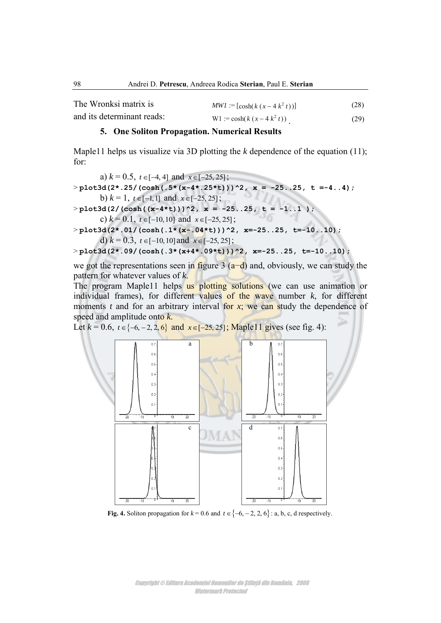| 98                                                     | Andrei D. Petrescu, Andreea Rodica Sterian, Paul E. Sterian                         |      |  |
|--------------------------------------------------------|-------------------------------------------------------------------------------------|------|--|
| The Wronksi matrix is                                  | $MWI := [cosh(k (x - 4 k2 t))]$                                                     | (28) |  |
| and its determinant reads:                             | W1 := $\cosh(k(x-4k^2 t))$                                                          | (29) |  |
|                                                        | 5. One Soliton Propagation. Numerical Results                                       |      |  |
| for:                                                   | Maple11 helps us visualize via 3D plotting the $k$ dependence of the equation (11); |      |  |
| a) $k = 0.5$ , $t \in [-4, 4]$ and $x \in [-25, 25]$ ; |                                                                                     |      |  |
|                                                        | $>$ plot3d(2*.25/(cosh(.5*(x-4*.25*t)))^2, x = -2525, t =-44);                      |      |  |

#### **5. One Soliton Propagation. Numerical Results**

a)  $k = 0.5$ ,  $t \in [-4, 4]$  and  $x \in [-25, 25]$ ;  $>$  **plot3d(2\*.25/(cosh(.5\*(x-4\*.25\*t)))^2, x = -25..25, t =-4..4);** b)  $k = 1$ ,  $t \in [-1, 1]$  and  $x \in [-25, 25]$ ;  $>$  plot3d(2/(cosh((x-4\*t)))^2, x = -25..25, t = -1..1 ); c)  $k = 0.1$ ,  $t \in [-10, 10]$  and  $x \in [-25, 25]$ ; > **plot3d(2\*.01/(cosh(.1\*(x-.04\*t)))^2, x=-25..25, t=-10..10);** d)  $k = 0.3$ ,  $t \in [-10, 10]$  and  $x \in [-25, 25]$ ; > **plot3d(2\*.09/(cosh(.3\*(x+4\*.09\*t)))^2, x=-25..25, t=-10..10);**

we got the representations seen in figure 3 (a−d) and, obviously, we can study the pattern for whatever values of *k*.

The program Maple11 helps us plotting solutions (we can use animation or individual frames), for different values of the wave number *k*, for different moments *t* and for an arbitrary interval for *x*; we can study the dependence of speed and amplitude onto *k*.

Let  $k = 0.6$ ,  $t \in \{-6, -2, 2, 6\}$  and  $x \in [-25, 25]$ ; Maple11 gives (see fig. 4):



**Fig. 4.** Soliton propagation for  $k = 0.6$  and  $t \in \{-6, -2, 2, 6\}$ : a, b, c, d respectively.

Copyright © Editura Academiei Oamenilor de Știință din România, 2008 Watermark Protected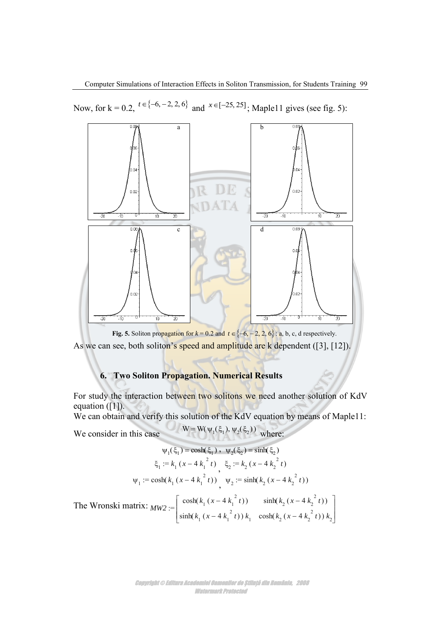Now, for  $k = 0.2$ ,  $t \in \{-6, -2, 2, 6\}$  and  $x \in [-25, 25]$ ; Maple11 gives (see fig. 5):



As we can see, both soliton's speed and amplitude are k dependent ([3], [12]).

# **6. Two Soliton Propagation. Numerical Results**

For study the interaction between two solitons we need another solution of KdV equation  $([1])$ .

We can obtain and verify this solution of the KdV equation by means of Maple11:

We consider in this case  $W = W(\psi_1(\xi_1), \psi_2(\xi_2))$  where:

$$
\Psi_1(\xi_1) = \cosh(\xi_1), \quad \Psi_2(\xi_2) = \sinh(\xi_2)
$$
  

$$
\xi_1 := k_1 (x - 4 k_1^2 t), \quad \xi_2 := k_2 (x - 4 k_2^2 t)
$$
  

$$
\Psi_1 := \cosh(k_1 (x - 4 k_1^2 t)), \quad \Psi_2 := \sinh(k_2 (x - 4 k_2^2 t))
$$

The Wronski matrix:  $_{MW2}$  :=  $\begin{bmatrix} \cosh(\kappa_1(x + \kappa_1, y)) \\ \cosh(\kappa_2(x + \kappa_2, y)) \end{bmatrix}$  $\cosh(k, (x-4k^2 t))$   $\sinh(k, (x$  $\sum_{1}$  Sillin( $\kappa_1$  ( $\lambda = +\kappa_1$  (*I*)  $\kappa_1$  (cosin( $\kappa_2$  ( $\lambda =$  $\cosh(k_1 (x-4 k_1^2 t))$   $\sinh(k_2 (x-4 k_2^2 t))$ production and the contract of the contract of and the contract of the contract of the contract of  $f^{2}(t)$  sinh( $k_2$  (x – 4 $k_2^{2}(t)$ )  $\binom{2}{t}$  $\sinh(k_1 (x-4k_1^{-t})) k_1 \cosh(k_2 (x-4k_2^{-t})) k_2$ 2  $\sim 10^{2}$ 2  $\binom{2}{2}$ 2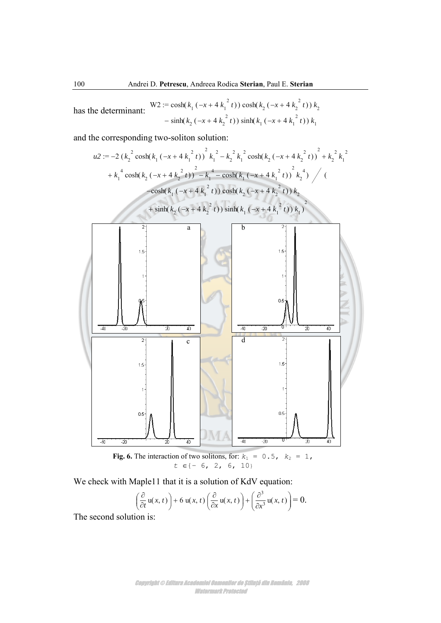has the determinant: 
$$
W2 := \cosh(k_1(-x + 4k_1^2 t)) \cosh(k_2(-x + 4k_2^2 t)) k_2
$$

$$
-\sinh(k_2(-x + 4k_2^2 t)) \sinh(k_1(-x + 4k_1^2 t)) k_1
$$

and the corresponding two-soliton solution:



We check with Maple11 that it is a solution of KdV equation:

$$
\left(\frac{\partial}{\partial t}\mathbf{u}(x,t)\right) + 6\mathbf{u}(x,t)\left(\frac{\partial}{\partial x}\mathbf{u}(x,t)\right) + \left(\frac{\partial^3}{\partial x^3}\mathbf{u}(x,t)\right) = 0.
$$

The second solution is: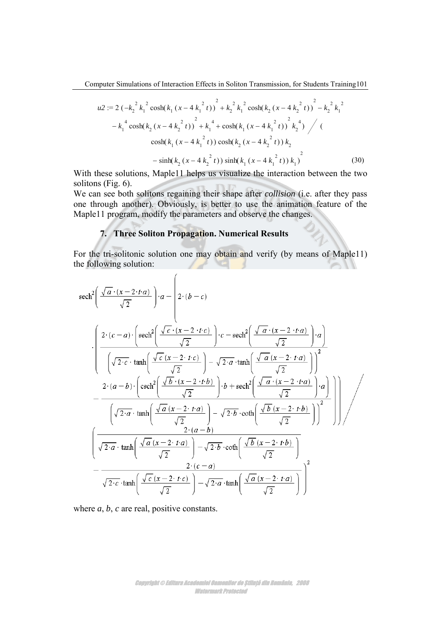Computer Simulations of Interaction Effects in Soliton Transmission, for Students Training 101

aputer Simulations of Interaction Effects in Soliton Transmission, for Students Training 101  
\n
$$
u2 := 2 \left(-k_2^{-2} k_1^{-2} \cosh(k_1 (x - 4 k_1^{-2} t)\right)^2 + k_2^{-2} k_1^{-2} \cosh(k_2 (x - 4 k_2^{-2} t)\right)^2 - k_2^{-2} k_1^{-2}
$$
\n
$$
-k_1^{-4} \cosh(k_2 (x - 4 k_2^{-2} t))^2 + k_1^{-4} + \cosh(k_1 (x - 4 k_1^{-2} t))^2 k_2^{-4} \bigg/ \left( \cosh(k_1 (x - 4 k_1^{-2} t)) \cosh(k_2 (x - 4 k_2^{-2} t)) k_2 \right)
$$
\n
$$
- \sinh(k_2 (x - 4 k_2^{-2} t)) \sinh(k_1 (x - 4 k_1^{-2} t)) k_1^{-2}
$$
\n
$$
- \sinh(k_2 (x - 4 k_2^{-2} t)) \sinh(k_1 (x - 4 k_1^{-2} t)) k_1^{-2}
$$
\n(30)  
\nthese solutions, Maple11 helps us visualize the interaction between the two  
\nis (Fig. 6).  
\nThese both solitons regarding their shape after collision (i.e., after they pass  
\nThus, a result is  
\ngroup another). Obviously, is better to use the animation feature of the  
\n11 program, modify the parameters and observe the changes.  
\n7. Three Soliton Propagation. Numerical Results  
\n
$$
\text{tri-solitionic solution one may obtain and verify (by means of Maple11)}
$$
\nIowing solution:  
\n
$$
\left(\frac{\sqrt{a} \cdot (x - 2 \cdot t \cdot a)}{\sqrt{2}}\right) \cdot a - \left(2 \cdot (b - c)\right)
$$
\n
$$
2 \cdot (c - a) \cdot \left(\text{sech}^2\left(\frac{\sqrt{c} \cdot (x - 2 \cdot t \cdot c)}{\sqrt{c} \cdot (x - 2 \cdot t \cdot c)}\right) \cdot c - \text{sech}^2\left(\frac{\sqrt{a} \cdot (x - 2 \cdot t \cdot a)}{\sqrt{c} \cdot (x - 2 \cdot t \cdot a)}\right) \cdot a\right)
$$

With these solutions, Maple11 helps us visualize the interaction between the two solitons (Fig. 6).

We can see both solitons regaining their shape after *collision* (i.e. after they pass one through another). Obviously, is better to use the animation feature of the Maple11 program, modify the parameters and observe the changes.

# **7. Three Soliton Propagation. Numerical Results**

For the tri-solitonic solution one may obtain and verify (by means of Maple11) the following solution:

Computer Simulations of Intraction Effecis in Soliton Transmission, for Students Training 101

\n
$$
u2 := 2\left(-k_x^2 k_1^2 \cosh(k_1(x-4k_1^2 t))\right)^2 + k_2^2 k_1^2 \cosh(k_2(x-4k_2^2 t))^2 - k_2^2 k_1^2
$$

\n
$$
-k_1^4 \cosh(k_2(x-4k_2^2 t))^2 + k_1^4 + \cosh(k_1(x-4k_1^2 t))^2 k_2^4 \bigg/ \left( \cosh(k_1(x-4k_1^2 t)) \cosh(k_2(x-4k_2^2 t)) k_2 \right)
$$

\n
$$
-\sinh(k_2(x-4k_1^2 t)) \cosh(k_2(x-4k_1^2 t)) k_2
$$

\nwith these solutions, Maple II helps us visualize the interaction between the two elements, Maple II helps us visualize the interaction between the two elements of the first *coH* in the image.

\nFor example, the use of the simulation feature of the original problem.

\n**7. Three Soliton Propagation. Numerical Results**

\nFor the trigonometric solution, one may obtain, and verify (by means of Maple11) in the following solution:

\n
$$
u = \left( \frac{2 \cdot (c-a) \cdot \left[ \text{sech}^2 \left( \frac{\sqrt{c} \cdot (x-2 \cdot r c)}{\sqrt{2}} \right] \right) - a - \left( 2 \cdot (b-c) \right) \right| - e - \text{sech}^2 \left( \frac{\sqrt{a} \cdot (x-2 \cdot r a)}{\sqrt{2}} \right) - a \right)
$$

\n
$$
= \left( \frac{2 \cdot (c-a) \cdot \left[ \text{sech}^2 \left( \frac{\sqrt{c} \cdot (x-2 \cdot r c)}{\sqrt{2}} \right] \right) - c - \text{sech}^2 \left( \frac{\sqrt{a} \cdot (x-2 \cdot r a)}{\sqrt{2}} \right) - a \right)
$$

\n
$$
= \frac{2 \cdot (a-b) \cdot \left( \text{sech}^2 \left( \frac{\sqrt{b} \cdot (x-2 \cdot r c)}{\sqrt{2}} \right) - \sqrt{2 \cdot a} \cdot \tanh \left( \frac{\sqrt{a} \cdot (x-2 \cdot r a)}{\sqrt{2}} \right) \right)^2}{\sqrt{2 \cdot a} \cdot
$$

where *a*, *b*, *c* are real, positive constants.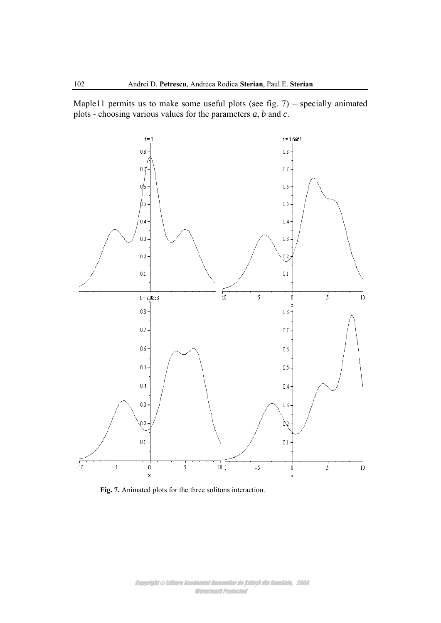Maple11 permits us to make some useful plots (see fig. 7) – specially animated plots - choosing various values for the parameters *a*, *b* and *c*.



**Fig. 7.** Animated plots for the three solitons interaction.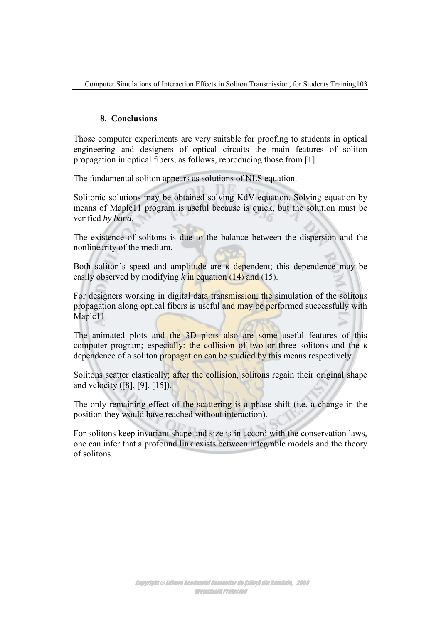# **8. Conclusions**

Those computer experiments are very suitable for proofing to students in optical engineering and designers of optical circuits the main features of soliton propagation in optical fibers, as follows, reproducing those from [1].

The fundamental soliton appears as solutions of NLS equation.

Solitonic solutions may be obtained solving KdV equation. Solving equation by means of Maple11 program is useful because is quick, but the solution must be verified *by hand*.

The existence of solitons is due to the balance between the dispersion and the nonlinearity of the medium.

Both soliton's speed and amplitude are *k* dependent; this dependence may be easily observed by modifying *k* in equation (14) and (15).

For designers working in digital data transmission, the simulation of the solitons propagation along optical fibers is useful and may be performed successfully with Maple11.

The animated plots and the 3D plots also are some useful features of this computer program; especially: the collision of two or three solitons and the *k* dependence of a soliton propagation can be studied by this means respectively.

Solitons scatter elastically; after the collision, solitons regain their original shape and velocity ([8], [9], [15]).

The only remaining effect of the scattering is a phase shift (i.e. a change in the position they would have reached without interaction).

For solitons keep invariant shape and size is in accord with the conservation laws, one can infer that a profound link exists between integrable models and the theory of solitons.